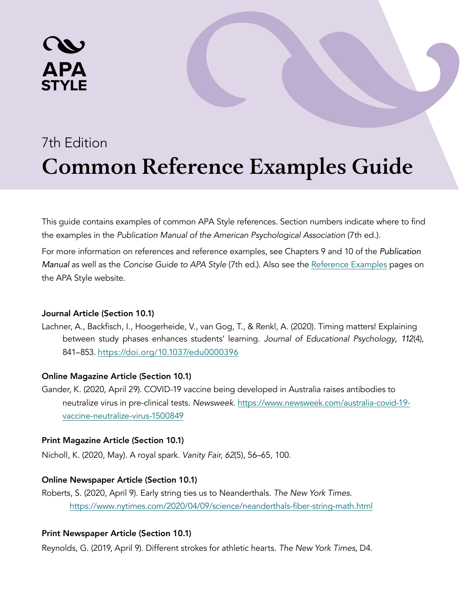# 7th Edition **Common Reference Examples Guide**

This guide contains examples of common APA Style references. Section numbers indicate where to find the examples in the [Publication Manual of the American Psychological Association](https://apastyle.apa.org/products/publication-manual-7th-edition) (7th ed.).

For more information on references and reference examples, see Chapters 9 and 10 of the *Publication Manual* as well as the Concise Guide to APA Style (7th ed.). Also see the Reference Examples pages on the APA Style website.

# Journal Article (Section 10.1)

APA

Lachner, A., Backfisch, I., Hoogerheide, V., van Gog, T., & Renkl, A. (2020). Timing matters! Explaining between study phases enhances students' learning. Journal of Educational Psychology*, 112*(4), 841–853. [https://doi.org/10.1037/edu0000396](https://psycnet.apa.org/fulltext/2019-40684-001.html) 

# Online Magazine Article (Section 10.1)

Gander, K. (2020, April 29). COVID-19 vaccine being developed in Australia raises antibodies to neutralize virus in pre-clinical tests. Newsweek. [https://www.newsweek.com/australia-covid-19](https://www.newsweek.com/australia-covid-19-vaccine-neutralize-virus-1500849) [vaccine-neutralize-virus-1500849](https://www.newsweek.com/australia-covid-19-vaccine-neutralize-virus-1500849)

# Print Magazine Article (Section 10.1)

Nicholl, K. (2020, May). A royal spark. Vanity Fair, 62(5), 56–65, 100.

# Online Newspaper Article (Section 10.1)

Roberts, S. (2020, April 9). Early string ties us to Neanderthals. The New York Times. <https://www.nytimes.com/2020/04/09/science/neanderthals-fiber-string-math.html>

# Print Newspaper Article (Section 10.1)

Reynolds, G. (2019, April 9). Different strokes for athletic hearts. The New York Times, D4.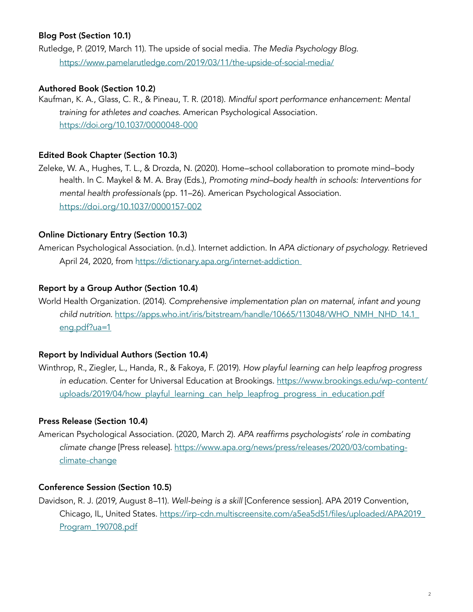# Blog Post (Section 10.1)

Rutledge, P. (2019, March 11). The upside of social media. The Media Psychology Blog. <https://www.pamelarutledge.com/2019/03/11/the-upside-of-social-media/>

# Authored Book (Section 10.2)

Kaufman, K. A., Glass, C. R., & Pineau, T. R. (2018). Mindful sport performance enhancement: Mental training for athletes and coaches. American Psychological Association. <https://doi.org/10.1037/0000048-000>

## Edited Book Chapter (Section 10.3)

Zeleke, W. A., Hughes, T. L., & Drozda, N. (2020). Home–school collaboration to promote mind–body health. In C. Maykel & M. A. Bray (Eds.), Promoting mind–body health in schools: Interventions for mental health professionals (pp. 11–26). American Psychological Association. [https://doi.org/10.1037/0000157-002](https://psycnet.apa.org/record/2019-51669-002)

## Online Dictionary Entry (Section 10.3)

American Psychological Association. (n.d.). Internet addiction. In APA dictionary of psychology. Retrieved April 24, 2020, from<https://dictionary.apa.org/internet-addiction>

# Report by a Group Author (Section 10.4)

World Health Organization. (2014). Comprehensive implementation plan on maternal, infant and young child nutrition. https://apps.who.int/iris/bitstream/handle/10665/113048/WHO\_NMH\_NHD\_14.1 [eng.pdf?ua=1](https://apps.who.int/iris/bitstream/handle/10665/113048/WHO_NMH_NHD_14.1_eng.pdf?ua=1) 

## Report by Individual Authors (Section 10.4)

Winthrop, R., Ziegler, L., Handa, R., & Fakoya, F. (2019). How playful learning can help leapfrog progress in education. Center for Universal Education at Brookings. [https://www.brookings.edu/wp-content/](https://www.brookings.edu/wp-content/uploads/2019/04/how_playful_learning_can_help_leapfrog_progress_in_education.pdf) [uploads/2019/04/how\\_playful\\_learning\\_can\\_help\\_leapfrog\\_progress\\_in\\_education.pdf](https://www.brookings.edu/wp-content/uploads/2019/04/how_playful_learning_can_help_leapfrog_progress_in_education.pdf)

## Press Release (Section 10.4)

American Psychological Association. (2020, March 2). APA reaffirms psychologists' role in combating climate change [Press release]. [https://www.apa.org/news/press/releases/2020/03/combating](https://www.apa.org/news/press/releases/2020/03/combating-climate-change)[climate-change](https://www.apa.org/news/press/releases/2020/03/combating-climate-change)

## Conference Session (Section 10.5)

Davidson, R. J. (2019, August 8–11). Well-being is a skill [Conference session]. APA 2019 Convention, Chicago, IL, United States. https://irp-cdn.multiscreensite.com/a5ea5d51/files/uploaded/APA2019\_ Program\_190708.pdf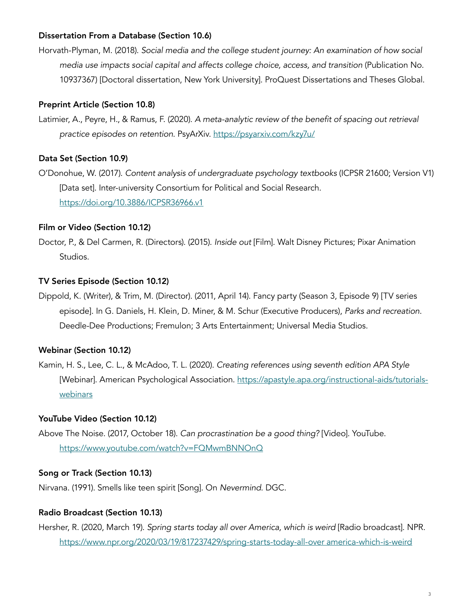# Dissertation From a Database (Section 10.6)

Horvath-Plyman, M. (2018). Social media and the college student journey: An examination of how social media use impacts social capital and affects college choice, access, and transition (Publication No. 10937367) [Doctoral dissertation, New York University]. ProQuest Dissertations and Theses Global.

## Preprint Article (Section 10.8)

Latimier, A., Peyre, H., & Ramus, F. (2020). A meta-analytic review of the benefit of spacing out retrieval practice episodes on retention. PsyArXiv.<https://psyarxiv.com/kzy7u/>

## Data Set (Section 10.9)

O'Donohue, W. (2017). Content analysis of undergraduate psychology textbooks (ICPSR 21600; Version V1) [Data set]. Inter-university Consortium for Political and Social Research. <https://doi.org/10.3886/ICPSR36966.v1>

#### Film or Video (Section 10.12)

Doctor, P., & Del Carmen, R. (Directors). (2015). Inside out [Film]. Walt Disney Pictures; Pixar Animation Studios.

#### TV Series Episode (Section 10.12)

Dippold, K. (Writer), & Trim, M. (Director). (2011, April 14). Fancy party (Season 3, Episode 9) [TV series episode]. In G. Daniels, H. Klein, D. Miner, & M. Schur (Executive Producers), Parks and recreation. Deedle-Dee Productions; Fremulon; 3 Arts Entertainment; Universal Media Studios.

## Webinar (Section 10.12)

Kamin, H. S., Lee, C. L., & McAdoo, T. L. (2020). Creating references using seventh edition APA Style [Webinar]. American Psychological Association. [https://apastyle.apa.org/instructional-aids/tutorials](https://apastyle.apa.org/instructional-aids/tutorials-webinars)[webinars](https://apastyle.apa.org/instructional-aids/tutorials-webinars) 

## YouTube Video (Section 10.12)

Above The Noise. (2017, October 18). Can procrastination be a good thing? [Video]. YouTube. <https://www.youtube.com/watch?v=FQMwmBNNOnQ>

## Song or Track (Section 10.13)

Nirvana. (1991). Smells like teen spirit [Song]. On Nevermind. DGC.

#### Radio Broadcast (Section 10.13)

Hersher, R. (2020, March 19). Spring starts today all over America, which is weird [Radio broadcast]. NPR. [https://www.npr.org/2020/03/19/817237429/spring-starts-today-all-over](https://www.npr.org/2020/03/19/817237429/spring-starts-today-all-over-america-which-is-weird) america-which-is-weird